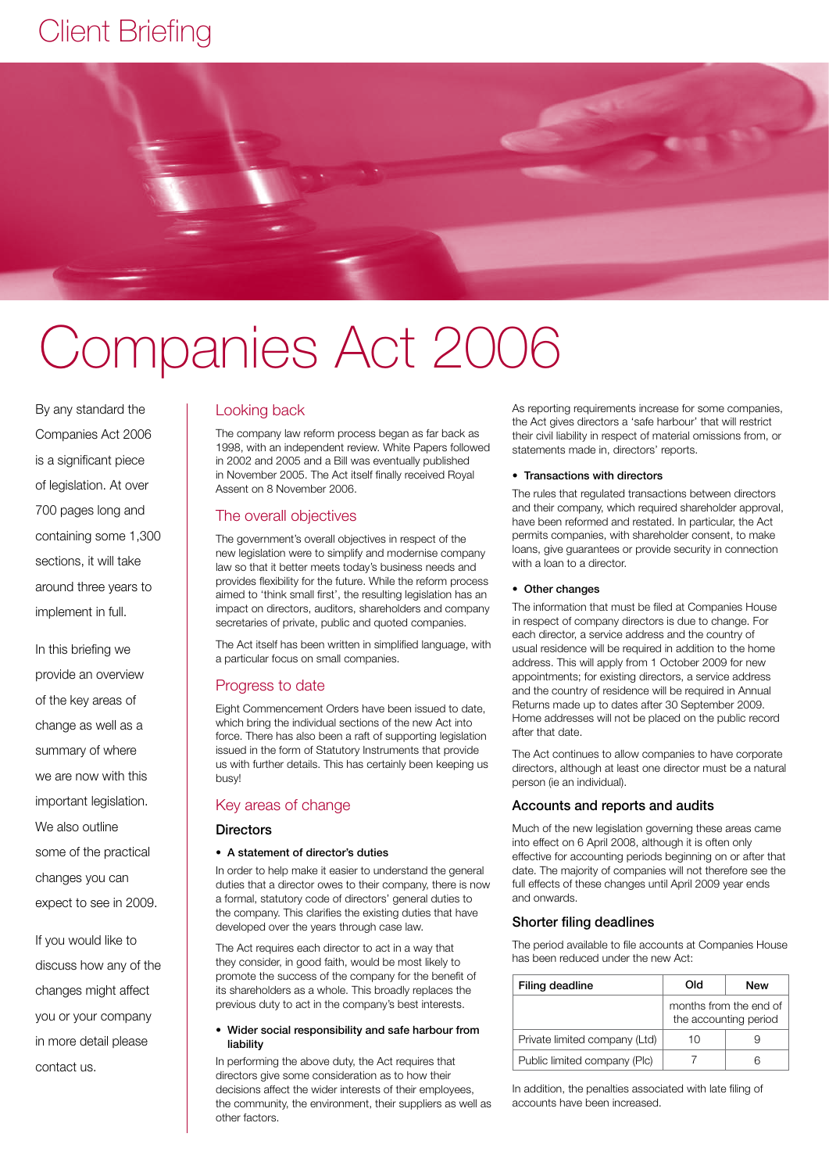# Client Briefing



# Companies Act 2006

By any standard the Companies Act 2006 is a significant piece of legislation. At over 700 pages long and containing some 1,300 sections, it will take around three years to implement in full.

In this briefing we provide an overview of the key areas of change as well as a summary of where we are now with this important legislation. We also outline some of the practical changes you can

expect to see in 2009.

If you would like to discuss how any of the changes might affect you or your company in more detail please contact us.

#### Looking back

The company law reform process began as far back as 1998, with an independent review. White Papers followed in 2002 and 2005 and a Bill was eventually published in November 2005. The Act itself finally received Royal Assent on 8 November 2006.

#### The overall objectives

The government's overall objectives in respect of the new legislation were to simplify and modernise company law so that it better meets today's business needs and provides flexibility for the future. While the reform process aimed to 'think small first', the resulting legislation has an impact on directors, auditors, shareholders and company secretaries of private, public and quoted companies.

The Act itself has been written in simplified language, with a particular focus on small companies.

#### Progress to date

Eight Commencement Orders have been issued to date, which bring the individual sections of the new Act into force. There has also been a raft of supporting legislation issued in the form of Statutory Instruments that provide us with further details. This has certainly been keeping us busy!

#### Key areas of change

#### **Directors**

#### • A statement of director's duties

In order to help make it easier to understand the general duties that a director owes to their company, there is now a formal, statutory code of directors' general duties to the company. This clarifies the existing duties that have developed over the years through case law.

The Act requires each director to act in a way that they consider, in good faith, would be most likely to promote the success of the company for the benefit of its shareholders as a whole. This broadly replaces the previous duty to act in the company's best interests.

#### • Wider social responsibility and safe harbour from liability

In performing the above duty, the Act requires that directors give some consideration as to how their decisions affect the wider interests of their employees, the community, the environment, their suppliers as well as other factors.

As reporting requirements increase for some companies, the Act gives directors a 'safe harbour' that will restrict their civil liability in respect of material omissions from, or statements made in, directors' reports.

#### • Transactions with directors

The rules that regulated transactions between directors and their company, which required shareholder approval, have been reformed and restated. In particular, the Act permits companies, with shareholder consent, to make loans, give guarantees or provide security in connection with a loan to a director.

#### • Other changes

The information that must be filed at Companies House in respect of company directors is due to change. For each director, a service address and the country of usual residence will be required in addition to the home address. This will apply from 1 October 2009 for new appointments; for existing directors, a service address and the country of residence will be required in Annual Returns made up to dates after 30 September 2009. Home addresses will not be placed on the public record after that date.

The Act continues to allow companies to have corporate directors, although at least one director must be a natural person (ie an individual).

#### Accounts and reports and audits

Much of the new legislation governing these areas came into effect on 6 April 2008, although it is often only effective for accounting periods beginning on or after that date. The majority of companies will not therefore see the full effects of these changes until April 2009 year ends and onwards.

### Shorter filing deadlines

The period available to file accounts at Companies House has been reduced under the new Act:

| Filing deadline               | Old                                             | New |
|-------------------------------|-------------------------------------------------|-----|
|                               | months from the end of<br>the accounting period |     |
| Private limited company (Ltd) | 10                                              |     |
| Public limited company (Plc)  |                                                 | ี   |

In addition, the penalties associated with late filing of accounts have been increased.